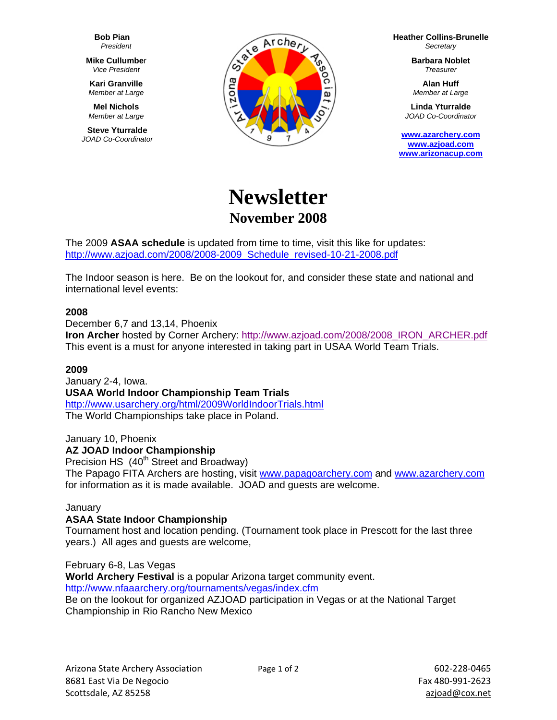**Bob Pian**  *President* 

**Mike Cullumbe**r *Vice President* 

**Kari Granville**  *Member at Large* 

**Mel Nichols**  *Member at Large* 

**Steve Yturralde**  *JOAD Co-Coordinator* 



**Heather Collins-Brunelle** *Secretary* 

> **Barbara Noblet** *Treasurer*

**Alan Huff**  *Member at Large* 

**Linda Yturralde**  *JOAD Co-Coordinator* 

**www.azarchery.com www.azjoad.com www.arizonacup.com**

# **Newsletter November 2008**

The 2009 **ASAA schedule** is updated from time to time, visit this like for updates: http://www.azjoad.com/2008/2008-2009\_Schedule\_revised-10-21-2008.pdf

The Indoor season is here. Be on the lookout for, and consider these state and national and international level events:

# **2008**

December 6,7 and 13,14, Phoenix

**Iron Archer** hosted by Corner Archery: http://www.azjoad.com/2008/2008\_IRON\_ARCHER.pdf This event is a must for anyone interested in taking part in USAA World Team Trials.

# **2009**

January 2-4, Iowa. **USAA World Indoor Championship Team Trials**  http://www.usarchery.org/html/2009WorldIndoorTrials.html The World Championships take place in Poland.

#### January 10, Phoenix **AZ JOAD Indoor Championship**

Precision HS  $(40<sup>th</sup> Street and Broadway)$ 

The Papago FITA Archers are hosting, visit www.papagoarchery.com and www.azarchery.com for information as it is made available. JOAD and guests are welcome.

# January

# **ASAA State Indoor Championship**

Tournament host and location pending. (Tournament took place in Prescott for the last three years.) All ages and guests are welcome,

February 6-8, Las Vegas **World Archery Festival** is a popular Arizona target community event. http://www.nfaaarchery.org/tournaments/vegas/index.cfm Be on the lookout for organized AZJOAD participation in Vegas or at the National Target Championship in Rio Rancho New Mexico